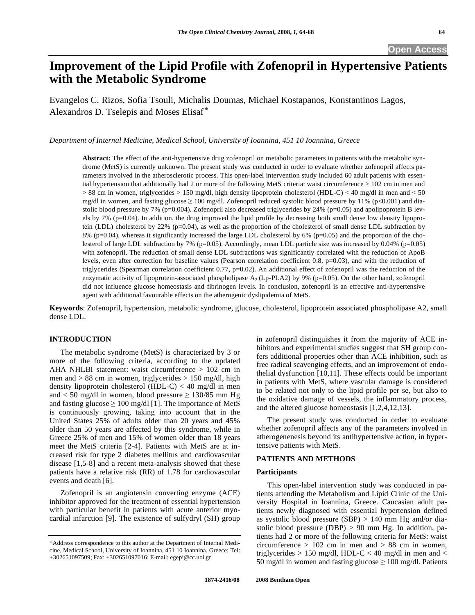# **-mprovement of the Lipid Profile with Zofenopril in Hypertensive Patients with the Metabolic Syndrome**

Evangelos C. Rizos, Sofia Tsouli, Michalis Doumas, Michael Kostapanos, Konstantinos Lagos, Alexandros D. Tselepis and Moses Elisaf \*

*Department of Internal Medicine, Medical School, University of Ioannina, 451 10 Ioannina, Greece* 

**Abstract:** The effect of the anti-hypertensive drug zofenopril on metabolic parameters in patients with the metabolic syndrome (MetS) is currently unknown. The present study was conducted in order to evaluate whether zofenopril affects parameters involved in the atherosclerotic process. This open-label intervention study included 60 adult patients with essential hypertension that additionally had 2 or more of the following MetS criteria: waist circumference > 102 cm in men and > 88 cm in women, triglycerides > 150 mg/dl, high density lipoprotein cholesterol (HDL-C) < 40 mg/dl in men and < 50 mg/dl in women, and fasting glucose  $\geq 100$  mg/dl. Zofenopril reduced systolic blood pressure by 11% (p<0.001) and diastolic blood pressure by 7% (p=0.004). Zofenopril also decreased triglycerides by 24% (p=0.05) and apolipoprotein B levels by 7% (p=0.04). In addition, the drug improved the lipid profile by decreasing both small dense low density lipoprotein (LDL) cholesterol by 22% (p=0.04), as well as the proportion of the cholesterol of small dense LDL subfraction by 8% (p=0.04), whereas it significantly increased the large LDL cholesterol by 6% (p=0.05) and the proportion of the cholesterol of large LDL subfraction by 7% (p=0.05). Accordingly, mean LDL particle size was increased by 0.04% (p=0.05) with zofenopril. The reduction of small dense LDL subfractions was significantly correlated with the reduction of ApoB levels, even after correction for baseline values (Pearson correlation coefficient 0.8, p=0.03), and with the reduction of triglycerides (Spearman correlation coefficient 0.77, p=0.02). An additional effect of zofenopril was the reduction of the enzymatic activity of lipoprotein-associated phospholipase A<sub>2</sub> (Lp-PLA2) by 9% (p=0.05). On the other hand, zofenopril did not influence glucose homeostasis and fibrinogen levels. In conclusion, zofenopril is an effective anti-hypertensive agent with additional favourable effects on the atherogenic dyslipidemia of MetS.

**Keywords**: Zofenopril, hypertension, metabolic syndrome, glucose, cholesterol, lipoprotein associated phospholipase A2, small dense LDL.

# **INTRODUCTION**

 The metabolic syndrome (MetS) is characterized by 3 or more of the following criteria, according to the updated AHA NHLBI statement: waist circumference > 102 cm in men and > 88 cm in women, triglycerides > 150 mg/dl, high density lipoprotein cholesterol (HDL-C) < 40 mg/dl in men and  $< 50$  mg/dl in women, blood pressure  $\geq 130/85$  mm Hg and fasting glucose  $\geq 100$  mg/dl [1]. The importance of MetS is continuously growing, taking into account that in the United States 25% of adults older than 20 years and 45% older than 50 years are affected by this syndrome, while in Greece 25% of men and 15% of women older than 18 years meet the MetS criteria [2-4]. Patients with MetS are at increased risk for type 2 diabetes mellitus and cardiovascular disease [1,5-8] and a recent meta-analysis showed that these patients have a relative risk (RR) of 1.78 for cardiovascular events and death [6].

 Zofenopril is an angiotensin converting enzyme (ACE) inhibitor approved for the treatment of essential hypertension with particular benefit in patients with acute anterior myocardial infarction [9]. The existence of sulfydryl (SH) group in zofenopril distinguishes it from the majority of ACE inhibitors and experimental studies suggest that SH group confers additional properties other than ACE inhibition, such as free radical scavenging effects, and an improvement of endothelial dysfunction [10,11]. These effects could be important in patients with MetS, where vascular damage is considered to be related not only to the lipid profile per se, but also to the oxidative damage of vessels, the inflammatory process, and the altered glucose homeostasis [1,2,4,12,13].

 The present study was conducted in order to evaluate whether zofenopril affects any of the parameters involved in atherogenenesis beyond its antihypertensive action, in hypertensive patients with MetS.

#### **PATIENTS AND METHODS**

#### **Participants**

 This open-label intervention study was conducted in patients attending the Metabolism and Lipid Clinic of the University Hospital in Ioannina, Greece. Caucasian adult patients newly diagnosed with essential hypertension defined as systolic blood pressure (SBP) > 140 mm Hg and/or diastolic blood pressure (DBP) > 90 mm Hg. In addition, patients had 2 or more of the following criteria for MetS: waist circumference  $> 102$  cm in men and  $> 88$  cm in women, triglycerides > 150 mg/dl, HDL-C < 40 mg/dl in men and < 50 mg/dl in women and fasting glucose  $\geq 100$  mg/dl. Patients

<sup>\*</sup>Address correspondence to this author at the Department of Internal Medicine, Medical School, University of Ioannina, 451 10 Ioannina, Greece; Tel: +302651097509; Fax: +302651097016; E-mail: egepi@cc.uoi.gr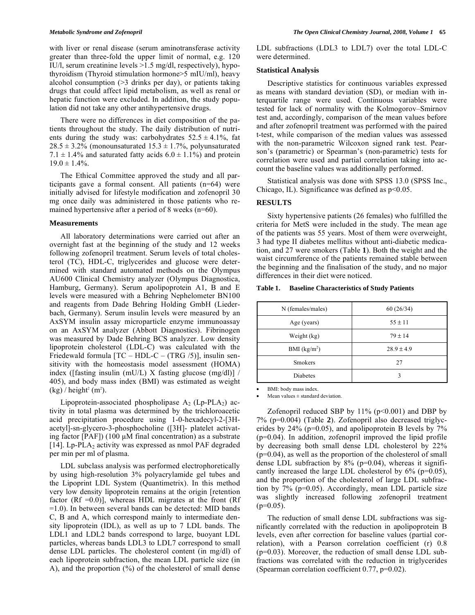with liver or renal disease (serum aminotransferase activity greater than three-fold the upper limit of normal, e.g. 120 IU/l, serum creatinine levels >1.5 mg/dl, respectively), hypothyroidism (Thyroid stimulation hormone>5 mIU/ml), heavy alcohol consumption (>3 drinks per day), or patients taking drugs that could affect lipid metabolism, as well as renal or hepatic function were excluded. In addition, the study population did not take any other antihypertensive drugs.

 There were no differences in diet composition of the patients throughout the study. The daily distribution of nutrients during the study was: carbohydrates  $52.5 \pm 4.1\%$ , fat  $28.5 \pm 3.2\%$  (monounsaturated  $15.3 \pm 1.7\%$ , polyunsaturated 7.1  $\pm$  1.4% and saturated fatty acids 6.0  $\pm$  1.1%) and protein  $19.0 \pm 1.4\%$ .

 The Ethical Committee approved the study and all participants gave a formal consent. All patients (n=64) were initially advised for lifestyle modification and zofenopril 30 mg once daily was administered in those patients who remained hypertensive after a period of 8 weeks (n=60).

#### **Measurements**

 All laboratory determinations were carried out after an overnight fast at the beginning of the study and 12 weeks following zofenopril treatment. Serum levels of total cholesterol (TC), HDL-C, triglycerides and glucose were determined with standard automated methods on the Olympus AU600 Clinical Chemistry analyzer (Olympus Diagnostica, Hamburg, Germany). Serum apolipoprotein A1, B and E levels were measured with a Behring Nephelometer BN100 and reagents from Dade Behring Holding GmbH (Liederbach, Germany). Serum insulin levels were measured by an AxSYM insulin assay microparticle enzyme immunoassay on an AxSYM analyzer (Abbott Diagnostics). Fibrinogen was measured by Dade Behring BCS analyzer. Low density lipoprotein cholesterol (LDL-C) was calculated with the Friedewald formula  $[TC - HDL-C - (TRG / 5)]$ , insulin sensitivity with the homeostasis model assessment (HOMA) index ([fasting insulin (mU/L) X fasting glucose (mg/dl)] / 405), and body mass index (BMI) was estimated as weight  $(kg)$  / height<sup>2</sup> (m<sup>2</sup>).

Lipoprotein-associated phospholipase  $A_2$  (Lp-PLA<sub>2</sub>) activity in total plasma was determined by the trichloroacetic acid precipitation procedure using 1-0-hexadecyl-2-[3Hacetyl]-sn-glycero-3-phosphocholine ([3H]- platelet activating factor [PAF]) (100 μM final concentration) as a substrate [14]. Lp-PLA<sub>2</sub> activity was expressed as nmol PAF degraded per min per ml of plasma.

 LDL subclass analysis was performed electrophoretically by using high-resolution 3% polyacrylamide gel tubes and the Lipoprint LDL System (Quantimetrix). In this method very low density lipoprotein remains at the origin [retention factor (Rf  $=0.0$ )], whereas HDL migrates at the front (Rf =1.0). In between several bands can be detected: MID bands C, B and A, which correspond mainly to intermediate density lipoprotein (IDL), as well as up to 7 LDL bands. The LDL1 and LDL2 bands correspond to large, buoyant LDL particles, whereas bands LDL3 to LDL7 correspond to small dense LDL particles. The cholesterol content (in mg/dl) of each lipoprotein subfraction, the mean LDL particle size (in A), and the proportion (%) of the cholesterol of small dense

LDL subfractions (LDL3 to LDL7) over the total LDL-C were determined.

#### **Statistical Analysis**

 Descriptive statistics for continuous variables expressed as means with standard deviation (SD), or median with interquartile range were used. Continuous variables were tested for lack of normality with the Kolmogorov–Smirnov test and, accordingly, comparison of the mean values before and after zofenopril treatment was performed with the paired t-test, while comparison of the median values was assessed with the non-parametric Wilcoxon signed rank test. Pearson's (parametric) or Spearman's (non-parametric) tests for correlation were used and partial correlation taking into account the baseline values was additionally performed.

 Statistical analysis was done with SPSS 13.0 (SPSS Inc., Chicago, IL). Significance was defined as  $p<0.05$ .

# **RESULTS**

 Sixty hypertensive patients (26 females) who fulfilled the criteria for MetS were included in the study. The mean age of the patients was 55 years. Most of them were overweight, 3 had type II diabetes mellitus without anti-diabetic medication, and 27 were smokers (Table **1**). Both the weight and the waist circumference of the patients remained stable between the beginning and the finalisation of the study, and no major differences in their diet were noticed.

#### **Table 1. Baseline Characteristics of Study Patients**

| N (females/males) | 60(26/34)      |  |
|-------------------|----------------|--|
| Age (years)       | $55 \pm 11$    |  |
| Weight (kg)       | $79 \pm 14$    |  |
| BMI $(kg/m2)$     | $28.9 \pm 4.9$ |  |
| Smokers           | 27             |  |
| <b>Diabetes</b>   | 3              |  |

BMI: body mass index.

Mean values  $\pm$  standard deviation.

Zofenopril reduced SBP by  $11\%$  (p<0.001) and DBP by 7% (p=0.004) (Table **2**). Zofenopril also decreased triglycerides by  $24\%$  (p=0.05), and apolipoprotein B levels by  $7\%$ (p=0.04). In addition, zofenopril improved the lipid profile by decreasing both small dense LDL cholesterol by 22%  $(p=0.04)$ , as well as the proportion of the cholesterol of small dense LDL subfraction by  $8\%$  (p=0.04), whereas it significantly increased the large LDL cholesterol by  $6\%$  (p=0.05), and the proportion of the cholesterol of large LDL subfraction by 7% (p=0.05). Accordingly, mean LDL particle size was slightly increased following zofenopril treatment  $(p=0.05)$ .

 The reduction of small dense LDL subfractions was significantly correlated with the reduction in apolipoprotein B levels, even after correction for baseline values (partial correlation), with a Pearson correlation coefficient (r) 0.8 (p=0.03). Moreover, the reduction of small dense LDL subfractions was correlated with the reduction in triglycerides (Spearman correlation coefficient 0.77, p=0.02).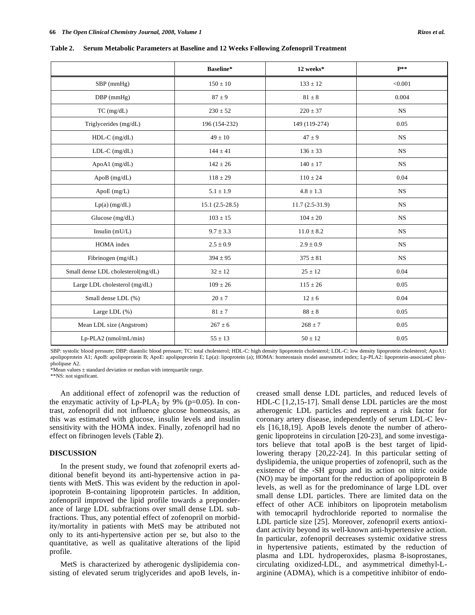|                                    | Baseline*        | 12 weeks*        | $\mathbf{P}^{**}$ |
|------------------------------------|------------------|------------------|-------------------|
| SBP (mmHg)                         | $150 \pm 10$     | $133 \pm 12$     | < 0.001           |
| DBP (mmHg)                         | $87 \pm 9$       | $81 \pm 8$       | 0.004             |
| TC (mg/dL)                         | $230 \pm 52$     | $220 \pm 37$     | <b>NS</b>         |
| Triglycerides (mg/dL)              | 196 (154-232)    | 149 (119-274)    | 0.05              |
| $HDL-C$ (mg/dL)                    | $49 \pm 10$      | $47 \pm 9$       | $_{\rm NS}$       |
| $LDL-C$ (mg/dL)                    | $144 \pm 41$     | $136 \pm 33$     | $_{\rm NS}$       |
| ApoA1 (mg/dL)                      | $142 \pm 26$     | $140 \pm 17$     | <b>NS</b>         |
| ApoB (mg/dL)                       | $118 \pm 29$     | $110 \pm 24$     | 0.04              |
| ApoE (mg/L)                        | $5.1 \pm 1.9$    | $4.8 \pm 1.3$    | <b>NS</b>         |
| $Lp(a)$ (mg/dL)                    | $15.1(2.5-28.5)$ | $11.7(2.5-31.9)$ | <b>NS</b>         |
| Glucose $(mg/dL)$                  | $103 \pm 15$     | $104 \pm 20$     | <b>NS</b>         |
| Insulin $(mU/L)$                   | $9.7 \pm 3.3$    | $11.0 \pm 8.2$   | <b>NS</b>         |
| HOMA index                         | $2.5 \pm 0.9$    | $2.9 \pm 0.9$    | $_{\rm NS}$       |
| Fibrinogen (mg/dL)                 | $394 \pm 95$     | $375 \pm 81$     | <b>NS</b>         |
| Small dense LDL cholesterol(mg/dL) | $32 \pm 12$      | $25 \pm 12$      | 0.04              |
| Large LDL cholesterol (mg/dL)      | $109 \pm 26$     | $115 \pm 26$     | 0.05              |
| Small dense LDL (%)                | $20 \pm 7$       | $12 \pm 6$       | 0.04              |
| Large LDL (%)                      | $81 \pm 7$       | $88 \pm 8$       | 0.05              |
| Mean LDL size (Angstrom)           | $267 \pm 6$      | $268 \pm 7$      | 0.05              |
| Lp-PLA2 (nmol/mL/min)              | $55 \pm 13$      | $50 \pm 12$      | 0.05              |

**Table 2. Serum Metabolic Parameters at Baseline and 12 Weeks Following Zofenopril Treatment** 

SBP: systolic blood pressure; DBP: diastolic blood pressure; TC: total cholesterol; HDL-C: high density lipoprotein cholesterol; LDL-C: low density lipoprotein cholesterol; ApoA1: apolipoprotein A1; ApoB: apolipoprotein B; ApoE: apolipoprotein E; Lp(a): lipoprotein (a); HOMA: homeostasis model assessment index; Lp-PLA2: lipoprotein-associated phospholipase A2.

\*Mean values  $\pm$  standard deviation or median with interquartile range.

\*\*NS: not significant.

 An additional effect of zofenopril was the reduction of the enzymatic activity of  $L_p-PLA_2$  by 9% ( $p=0.05$ ). In contrast, zofenopril did not influence glucose homeostasis, as this was estimated with glucose, insulin levels and insulin sensitivity with the HOMA index. Finally, zofenopril had no effect on fibrinogen levels (Table **2**).

### **DISCUSSION**

 In the present study, we found that zofenopril exerts additional benefit beyond its anti-hypertensive action in patients with MetS. This was evident by the reduction in apolipoprotein B-containing lipoprotein particles. In addition, zofenopril improved the lipid profile towards a preponderance of large LDL subfractions over small dense LDL subfractions. Thus, any potential effect of zofenopril on morbidity/mortality in patients with MetS may be attributed not only to its anti-hypertensive action per se, but also to the quantitative, as well as qualitative alterations of the lipid profile.

 MetS is characterized by atherogenic dyslipidemia consisting of elevated serum triglycerides and apoB levels, increased small dense LDL particles, and reduced levels of HDL-C [1,2,15-17]. Small dense LDL particles are the most atherogenic LDL particles and represent a risk factor for coronary artery disease, independently of serum LDL-C levels [16,18,19]. ApoB levels denote the number of atherogenic lipoproteins in circulation [20-23], and some investigators believe that total apoB is the best target of lipidlowering therapy [20,22-24]. In this particular setting of dyslipidemia, the unique properties of zofenopril, such as the existence of the -SH group and its action on nitric oxide (NO) may be important for the reduction of apolipoprotein B levels, as well as for the predominance of large LDL over small dense LDL particles. There are limited data on the effect of other ACE inhibitors on lipoprotein metabolism with temocapril hydrochloride reported to normalise the LDL particle size [25]. Moreover, zofenopril exerts antioxidant activity beyond its well-known anti-hypertensive action. In particular, zofenopril decreases systemic oxidative stress in hypertensive patients, estimated by the reduction of plasma and LDL hydroperoxides, plasma 8-isoprostanes, circulating oxidized-LDL, and asymmetrical dimethyl-Larginine (ADMA), which is a competitive inhibitor of endo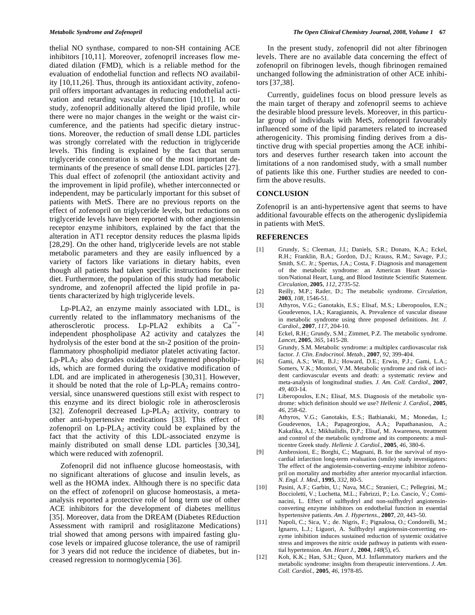thelial NO synthase, compared to non-SH containing ACE inhibitors [10,11]. Moreover, zofenopril increases flow mediated dilation (FMD), which is a reliable method for the evaluation of endothelial function and reflects NO availability [10,11,26]. Thus, through its antioxidant activity, zofenopril offers important advantages in reducing endothelial activation and retarding vascular dysfunction [10,11]. In our study, zofenopril additionally altered the lipid profile, while there were no major changes in the weight or the waist circumference, and the patients had specific dietary instructions. Moreover, the reduction of small dense LDL particles was strongly correlated with the reduction in triglyceride levels. This finding is explained by the fact that serum triglyceride concentration is one of the most important determinants of the presence of small dense LDL particles [27]. This dual effect of zofenopril (the antioxidant activity and the improvement in lipid profile), whether interconnected or independent, may be particularly important for this subset of patients with MetS. There are no previous reports on the effect of zofenopril on triglyceride levels, but reductions on triglyceride levels have been reported with other angiotensin receptor enzyme inhibitors, explained by the fact that the alteration in AT1 receptor density reduces the plasma lipids [28,29]. On the other hand, triglyceride levels are not stable metabolic parameters and they are easily influenced by a variety of factors like variations in dietary habits, even though all patients had taken specific instructions for their diet. Furthermore, the population of this study had metabolic syndrome, and zofenopril affected the lipid profile in patients characterized by high triglyceride levels.

 Lp-PLA2, an enzyme mainly associated with LDL, is currently related to the inflammatory mechanisms of the atherosclerotic process.  $L_p$ -PLA2 exhibits a  $Ca^{++}$ independent phospholipase A2 activity and catalyzes the hydrolysis of the ester bond at the sn-2 position of the proinflammatory phospholipid mediator platelet activating factor.  $Lp$ -PLA<sub>2</sub> also degrades oxidatively fragmented phospholipids, which are formed during the oxidative modification of LDL and are implicated in atherogenesis [30,31]. However, it should be noted that the role of  $L_p$ -PLA $_2$  remains controversial, since unanswered questions still exist with respect to this enzyme and its direct biologic role in atherosclerosis [32]. Zofenopril decreased Lp-PLA<sub>2</sub> activity, contrary to other anti-hypertensive medications [33]. This effect of zofenopril on  $L_p$ -PLA<sub>2</sub> activity could be explained by the fact that the activity of this LDL-associated enzyme is mainly distributed on small dense LDL particles [30,34], which were reduced with zofenopril.

 Zofenopril did not influence glucose homeostasis, with no significant alterations of glucose and insulin levels, as well as the HOMA index. Although there is no specific data on the effect of zofenopril on glucose homeostasis, a metaanalysis reported a protective role of long term use of other ACE inhibitors for the development of diabetes mellitus [35]. Moreover, data from the DREAM (Diabetes REduction Assessment with ramipril and rosiglitazone Medications) trial showed that among persons with impaired fasting glucose levels or impaired glucose tolerance, the use of ramipril for 3 years did not reduce the incidence of diabetes, but increased regression to normoglycemia [36].

 In the present study, zofenopril did not alter fibrinogen levels. There are no available data concerning the effect of zofenopril on fibrinogen levels, though fibrinogen remained unchanged following the administration of other ACE inhibitors [37,38].

 Currently, guidelines focus on blood pressure levels as the main target of therapy and zofenopril seems to achieve the desirable blood pressure levels. Moreover, in this particular group of individuals with MetS, zofenopril favourably influenced some of the lipid parameters related to increased atherogenicity. This promising finding derives from a distinctive drug with special properties among the ACE inhibitors and deserves further research taken into account the limitations of a non randomised study, with a small number of patients like this one. Further studies are needed to confirm the above results.

# **CONCLUSION**

Zofenopril is an anti-hypertensive agent that seems to have additional favourable effects on the atherogenic dyslipidemia in patients with MetS.

#### **REFERENCES**

- [1] Grundy, S.; Cleeman, J.I.; Daniels, S.R.; Donato, K.A.; Eckel, R.H.; Franklin, B.A.; Gordon, D.J.; Krauss, R.M.; Savage, P.J.; Smith, S.C. Jr.; Spertus, J.A.; Costa, F. Diagnosis and management of the metabolic syndrome: an American Heart Association/National Heart, Lung, and Blood Institute Scientific Statement. *Circulation,* **2005**, *112*, 2735-52.
- [2] Reilly, M.P.; Rader, D.; The metabolic syndrome. *Circulation,*  **2003**, *108,* 1546-51.
- [3] Athyros, V.G.; Ganotakis, E.S.; Elisaf, M.S.; Liberopoulos, E.N.; Goudevenos, I.A.; Karagiannis, A. Prevalence of vascular disease in metabolic syndrome using three proposed definitions. *Int. J. Cardiol*., **2007**, *117*, 204-10.
- [4] Eckel, R.H.; Grundy, S.M.; Zimmet, P.Z. The metabolic syndrome. *Lancet,* **2005**, *365,* 1415-28.
- [5] Grundy, S.M. Metabolic syndrome: a multiplex cardiovascular risk factor. *J. Clin. Endocrinol. Metab.,* **2007**, *92,* 399-404.
- [6] Gami, A.S.; Witt, B.J.; Howard, D.E.; Erwin, P.J.; Gami, L.A.; Somers, V.K.; Montori, V.M. Metabolic syndrome and risk of incident cardiovascular events and death: a systematic review and meta-analysis of longitudinal studies. *J. Am. Coll. Cardiol.*, **2007**, *49,* 403-14.
- [7] Liberopoulos, E.N.; Elisaf, M.S. Diagnosis of the metabolic syndrome: which definition should we use? *Hellenic J. Cardiol.,* **2005**, *46,* 258-62.
- [8] Athyros, V.G.; Ganotakis, E.S.; Bathianaki, M.; Monedas, I.; Goudevenos, I.A.; Papageorgiou, A.A.; Papathanasiou, A.; Kakafika, A.I.; Mikhailidis, D.P.; Elisaf, M. Awareness, treatment and control of the metabolic syndrome and its components: a multicentre Greek study. *Hellenic J. Cardiol.,* **2005**, *46,* 380-6.
- [9] Ambrosioni, E.; Borghi, C.; Magnani, B. for the survival of myocardial infarction long-term evaluation (smile) study investigators: The effect of the angiotensin-converting–enzyme inhibitor zofenopril on mortality and morbidity after anterior myocardial infarction. *N. Engl. J. Med.,* **1995**, *332,* 80-5.
- [10] Pasini, A.F.; Garbin, U.; Nava, M.C.; Stranieri, C.; Pellegrini, M.; Boccioletti, V.; Luchetta, M.L.; Fabrizzi, P.; Lo. Cascio, V.; Cominacini, L. Effect of sulfhydryl and non-sulfhydryl angiotensinconverting enzyme inhibitors on endothelial function in essential hypertensive patients. *Am. J. Hypertens.,* **2007**, *20*, 443–50.
- [11] Napoli, C.; Sica, V.; de. Nigris, F.; Pignalosa, O.; Condorelli, M.; Ignarro, L.J.; Liguori, A. Sulfhydryl angiotensin-converting enzyme inhibition induces sustained reduction of systemic oxidative stress and improves the nitric oxide pathway in patients with essential hypertension. *Am. Heart J.,* **2004**, *148*(5), e5.
- [12] Koh, K.K.; Han, S.H.; Quon, M.J. Inflammatory markers and the metabolic syndrome: insights from therapeutic interventions. *J. Am. Coll. Cardiol.,* **2005**, *46,* 1978-85.